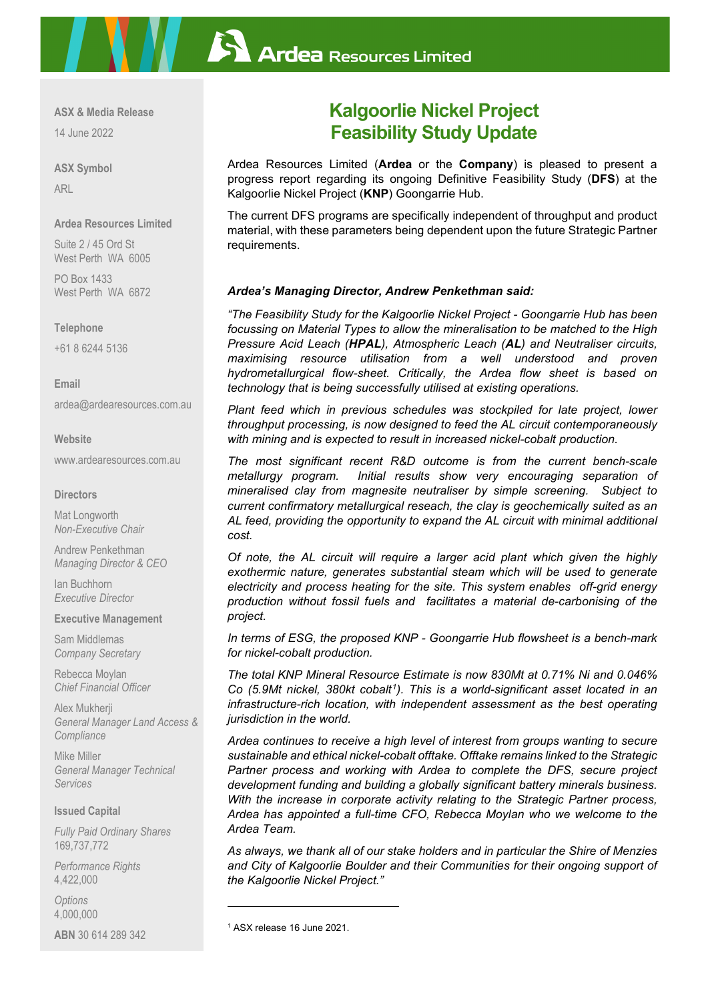## **ASX Symbol**

ARL

## **Ardea Resources Limited**

Suite 2 / 45 Ord St West Perth WA 6005

PO Box 1433 West Perth WA 6872

#### **Telephone**

+61 8 6244 5136

## **Email**

[ardea@ardearesources.com.au](mailto:ardea@ardearesources.com.au)

## **Website**

[www.ardearesources.com.au](http://www.ardearesources.com.au/)

## **Directors**

Mat Longworth *Non-Executive Chair*

Andrew Penkethman *Managing Director & CEO*

Ian Buchhorn *Executive Director*

#### **Executive Management**

Sam Middlemas *Company Secretary*

Rebecca Moylan *Chief Financial Officer*

Alex Mukherji *General Manager Land Access & Compliance*

Mike Miller *General Manager Technical Services*

## **Issued Capital**

*Fully Paid Ordinary Shares* 169,737,772

*Performance Rights* 4,422,000

*Options* 4,000,000

<span id="page-0-0"></span>**ABN** 30 614 289 342

# **Kalgoorlie Nickel Project Feasibility Study Update**

Ardea Resources Limited (**Ardea** or the **Company**) is pleased to present a progress report regarding its ongoing Definitive Feasibility Study (**DFS**) at the Kalgoorlie Nickel Project (**KNP**) Goongarrie Hub.

The current DFS programs are specifically independent of throughput and product material, with these parameters being dependent upon the future Strategic Partner requirements.

## *Ardea's Managing Director, Andrew Penkethman said:*

*"The Feasibility Study for the Kalgoorlie Nickel Project - Goongarrie Hub has been focussing on Material Types to allow the mineralisation to be matched to the High Pressure Acid Leach (HPAL), Atmospheric Leach (AL) and Neutraliser circuits, maximising resource utilisation from a well understood and proven hydrometallurgical flow-sheet. Critically, the Ardea flow sheet is based on technology that is being successfully utilised at existing operations.*

*Plant feed which in previous schedules was stockpiled for late project, lower throughput processing, is now designed to feed the AL circuit contemporaneously with mining and is expected to result in increased nickel-cobalt production.*

*The most significant recent R&D outcome is from the current bench-scale metallurgy program. Initial results show very encouraging separation of mineralised clay from magnesite neutraliser by simple screening. Subject to current confirmatory metallurgical reseach, the clay is geochemically suited as an AL feed, providing the opportunity to expand the AL circuit with minimal additional cost.*

*Of note, the AL circuit will require a larger acid plant which given the highly exothermic nature, generates substantial steam which will be used to generate electricity and process heating for the site. This system enables off-grid energy production without fossil fuels and facilitates a material de-carbonising of the project.*

*In terms of ESG, the proposed KNP - Goongarrie Hub flowsheet is a bench-mark for nickel-cobalt production.*

*The total KNP Mineral Resource Estimate is now 830Mt at 0.71% Ni and 0.046% Co (5.9Mt nickel, 380kt cobalt[1\)](#page-0-0). This is a world-significant asset located in an infrastructure-rich location, with independent assessment as the best operating jurisdiction in the world.* 

*Ardea continues to receive a high level of interest from groups wanting to secure sustainable and ethical nickel-cobalt offtake. Offtake remains linked to the Strategic Partner process and working with Ardea to complete the DFS, secure project development funding and building a globally significant battery minerals business. With the increase in corporate activity relating to the Strategic Partner process, Ardea has appointed a full-time CFO, Rebecca Moylan who we welcome to the Ardea Team.*

*As always, we thank all of our stake holders and in particular the Shire of Menzies and City of Kalgoorlie Boulder and their Communities for their ongoing support of the Kalgoorlie Nickel Project."* 

<sup>1</sup> ASX release 16 June 2021.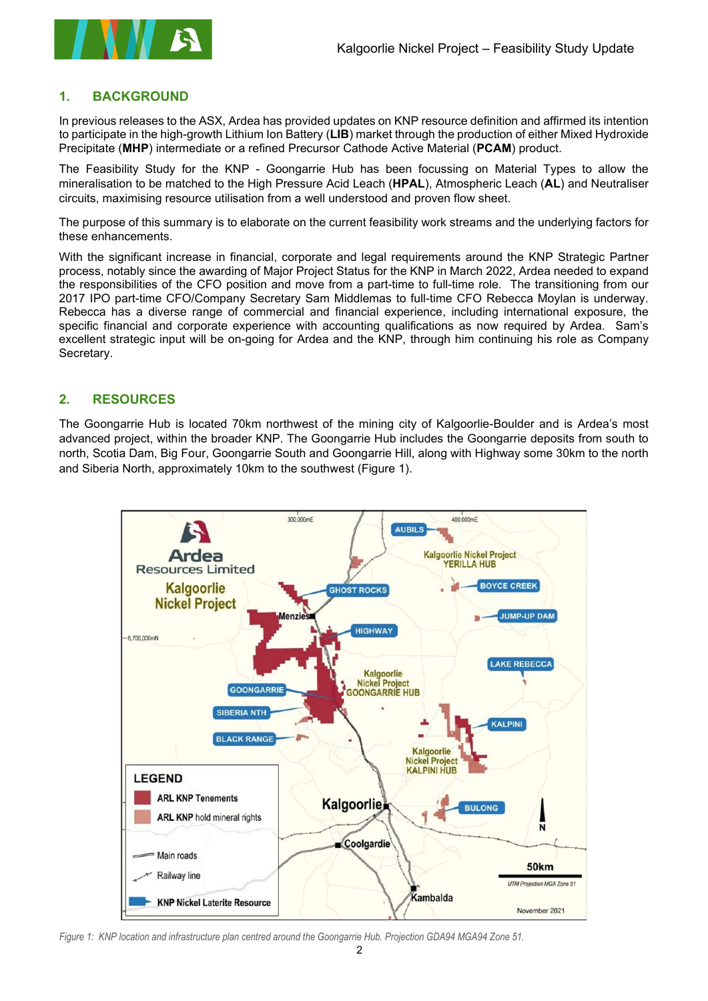

# **1. BACKGROUND**

In previous releases to the ASX, Ardea has provided updates on KNP resource definition and affirmed its intention to participate in the high-growth Lithium Ion Battery (**LIB**) market through the production of either Mixed Hydroxide Precipitate (**MHP**) intermediate or a refined Precursor Cathode Active Material (**PCAM**) product.

The Feasibility Study for the KNP - Goongarrie Hub has been focussing on Material Types to allow the mineralisation to be matched to the High Pressure Acid Leach (**HPAL**), Atmospheric Leach (**AL**) and Neutraliser circuits, maximising resource utilisation from a well understood and proven flow sheet.

The purpose of this summary is to elaborate on the current feasibility work streams and the underlying factors for these enhancements.

With the significant increase in financial, corporate and legal requirements around the KNP Strategic Partner process, notably since the awarding of Major Project Status for the KNP in March 2022, Ardea needed to expand the responsibilities of the CFO position and move from a part-time to full-time role. The transitioning from our 2017 IPO part-time CFO/Company Secretary Sam Middlemas to full-time CFO Rebecca Moylan is underway. Rebecca has a diverse range of commercial and financial experience, including international exposure, the specific financial and corporate experience with accounting qualifications as now required by Ardea. Sam's excellent strategic input will be on-going for Ardea and the KNP, through him continuing his role as Company Secretary.

## **2. RESOURCES**

The Goongarrie Hub is located 70km northwest of the mining city of Kalgoorlie-Boulder and is Ardea's most advanced project, within the broader KNP. The Goongarrie Hub includes the Goongarrie deposits from south to north, Scotia Dam, Big Four, Goongarrie South and Goongarrie Hill, along with Highway some 30km to the north and Siberia North, approximately 10km to the southwest (Figure 1).



*Figure 1: KNP location and infrastructure plan centred around the Goongarrie Hub. Projection GDA94 MGA94 Zone 51.*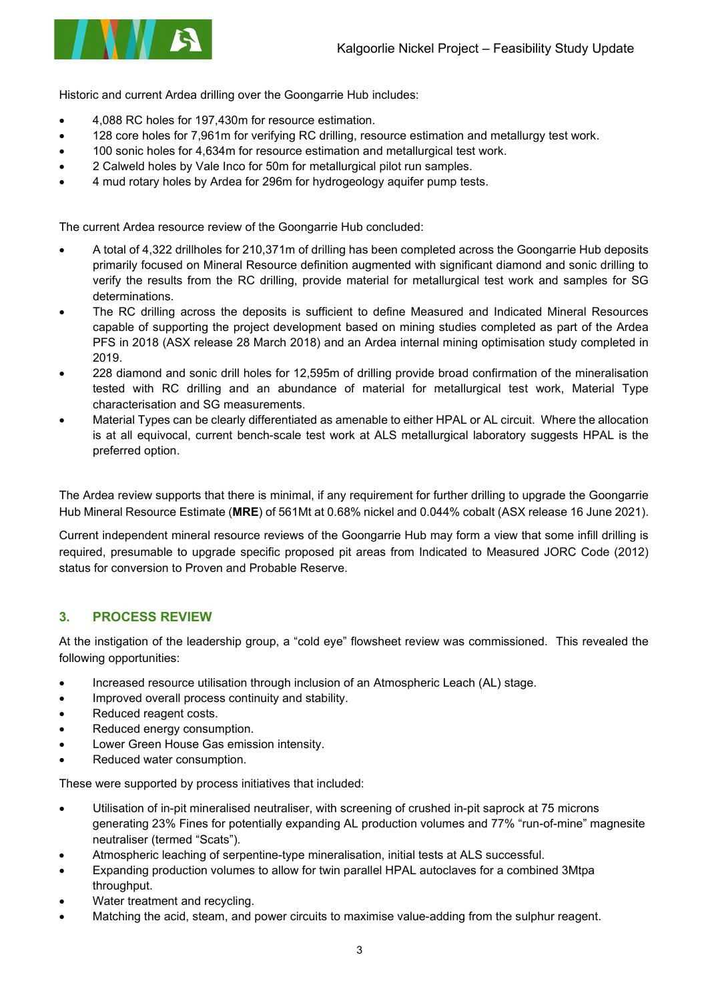

Historic and current Ardea drilling over the Goongarrie Hub includes:

- 4,088 RC holes for 197,430m for resource estimation.
- 128 core holes for 7,961m for verifying RC drilling, resource estimation and metallurgy test work.
- 100 sonic holes for 4,634m for resource estimation and metallurgical test work.
- 2 Calweld holes by Vale Inco for 50m for metallurgical pilot run samples.
- 4 mud rotary holes by Ardea for 296m for hydrogeology aquifer pump tests.

The current Ardea resource review of the Goongarrie Hub concluded:

- A total of 4,322 drillholes for 210,371m of drilling has been completed across the Goongarrie Hub deposits primarily focused on Mineral Resource definition augmented with significant diamond and sonic drilling to verify the results from the RC drilling, provide material for metallurgical test work and samples for SG determinations.
- The RC drilling across the deposits is sufficient to define Measured and Indicated Mineral Resources capable of supporting the project development based on mining studies completed as part of the Ardea PFS in 2018 (ASX release 28 March 2018) and an Ardea internal mining optimisation study completed in 2019.
- 228 diamond and sonic drill holes for 12,595m of drilling provide broad confirmation of the mineralisation tested with RC drilling and an abundance of material for metallurgical test work, Material Type characterisation and SG measurements.
- Material Types can be clearly differentiated as amenable to either HPAL or AL circuit. Where the allocation is at all equivocal, current bench-scale test work at ALS metallurgical laboratory suggests HPAL is the preferred option.

The Ardea review supports that there is minimal, if any requirement for further drilling to upgrade the Goongarrie Hub Mineral Resource Estimate (**MRE**) of 561Mt at 0.68% nickel and 0.044% cobalt (ASX release 16 June 2021).

Current independent mineral resource reviews of the Goongarrie Hub may form a view that some infill drilling is required, presumable to upgrade specific proposed pit areas from Indicated to Measured JORC Code (2012) status for conversion to Proven and Probable Reserve.

# **3. PROCESS REVIEW**

At the instigation of the leadership group, a "cold eye" flowsheet review was commissioned. This revealed the following opportunities:

- Increased resource utilisation through inclusion of an Atmospheric Leach (AL) stage.
- Improved overall process continuity and stability.
- Reduced reagent costs.
- Reduced energy consumption.
- Lower Green House Gas emission intensity.
- Reduced water consumption.

These were supported by process initiatives that included:

- Utilisation of in-pit mineralised neutraliser, with screening of crushed in-pit saprock at 75 microns generating 23% Fines for potentially expanding AL production volumes and 77% "run-of-mine" magnesite neutraliser (termed "Scats").
- Atmospheric leaching of serpentine-type mineralisation, initial tests at ALS successful.
- Expanding production volumes to allow for twin parallel HPAL autoclaves for a combined 3Mtpa throughput.
- Water treatment and recycling.
- Matching the acid, steam, and power circuits to maximise value-adding from the sulphur reagent.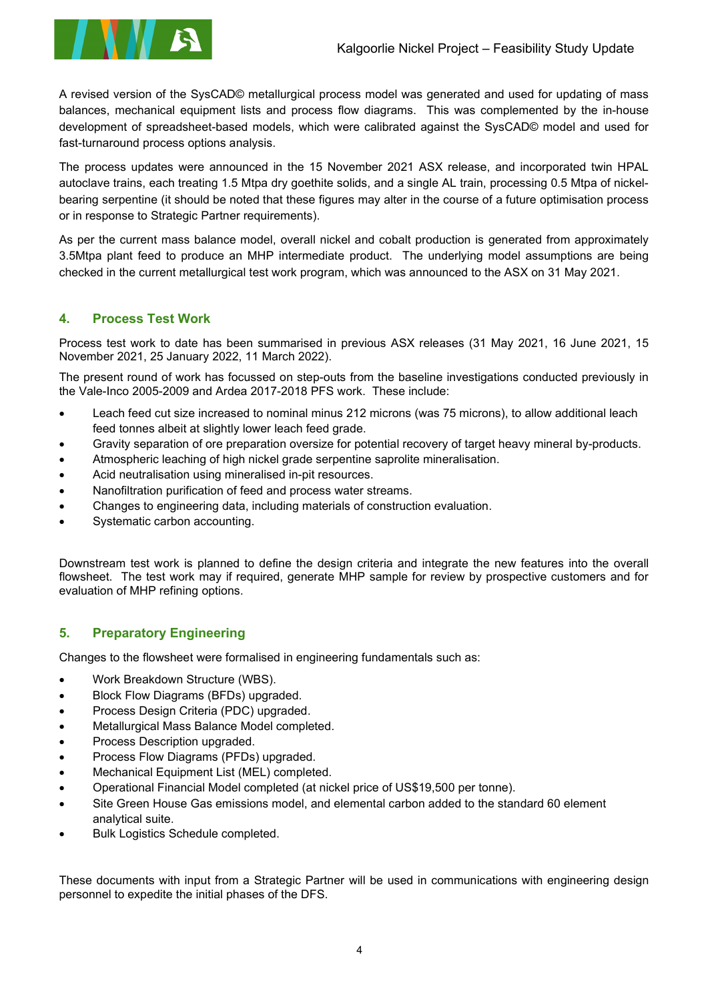

A revised version of the SysCAD© metallurgical process model was generated and used for updating of mass balances, mechanical equipment lists and process flow diagrams. This was complemented by the in-house development of spreadsheet-based models, which were calibrated against the SysCAD© model and used for fast-turnaround process options analysis.

The process updates were announced in the 15 November 2021 ASX release, and incorporated twin HPAL autoclave trains, each treating 1.5 Mtpa dry goethite solids, and a single AL train, processing 0.5 Mtpa of nickelbearing serpentine (it should be noted that these figures may alter in the course of a future optimisation process or in response to Strategic Partner requirements).

As per the current mass balance model, overall nickel and cobalt production is generated from approximately 3.5Mtpa plant feed to produce an MHP intermediate product. The underlying model assumptions are being checked in the current metallurgical test work program, which was announced to the ASX on 31 May 2021.

# **4. Process Test Work**

Process test work to date has been summarised in previous ASX releases (31 May 2021, 16 June 2021, 15 November 2021, 25 January 2022, 11 March 2022).

The present round of work has focussed on step-outs from the baseline investigations conducted previously in the Vale-Inco 2005-2009 and Ardea 2017-2018 PFS work. These include:

- Leach feed cut size increased to nominal minus 212 microns (was 75 microns), to allow additional leach feed tonnes albeit at slightly lower leach feed grade.
- Gravity separation of ore preparation oversize for potential recovery of target heavy mineral by-products.
- Atmospheric leaching of high nickel grade serpentine saprolite mineralisation.
- Acid neutralisation using mineralised in-pit resources.
- Nanofiltration purification of feed and process water streams.
- Changes to engineering data, including materials of construction evaluation.
- Systematic carbon accounting.

Downstream test work is planned to define the design criteria and integrate the new features into the overall flowsheet. The test work may if required, generate MHP sample for review by prospective customers and for evaluation of MHP refining options.

# **5. Preparatory Engineering**

Changes to the flowsheet were formalised in engineering fundamentals such as:

- Work Breakdown Structure (WBS).
- Block Flow Diagrams (BFDs) upgraded.
- Process Design Criteria (PDC) upgraded.
- Metallurgical Mass Balance Model completed.
- Process Description upgraded.
- Process Flow Diagrams (PFDs) upgraded.
- Mechanical Equipment List (MEL) completed.
- Operational Financial Model completed (at nickel price of US\$19,500 per tonne).
- Site Green House Gas emissions model, and elemental carbon added to the standard 60 element analytical suite.
- Bulk Logistics Schedule completed.

These documents with input from a Strategic Partner will be used in communications with engineering design personnel to expedite the initial phases of the DFS.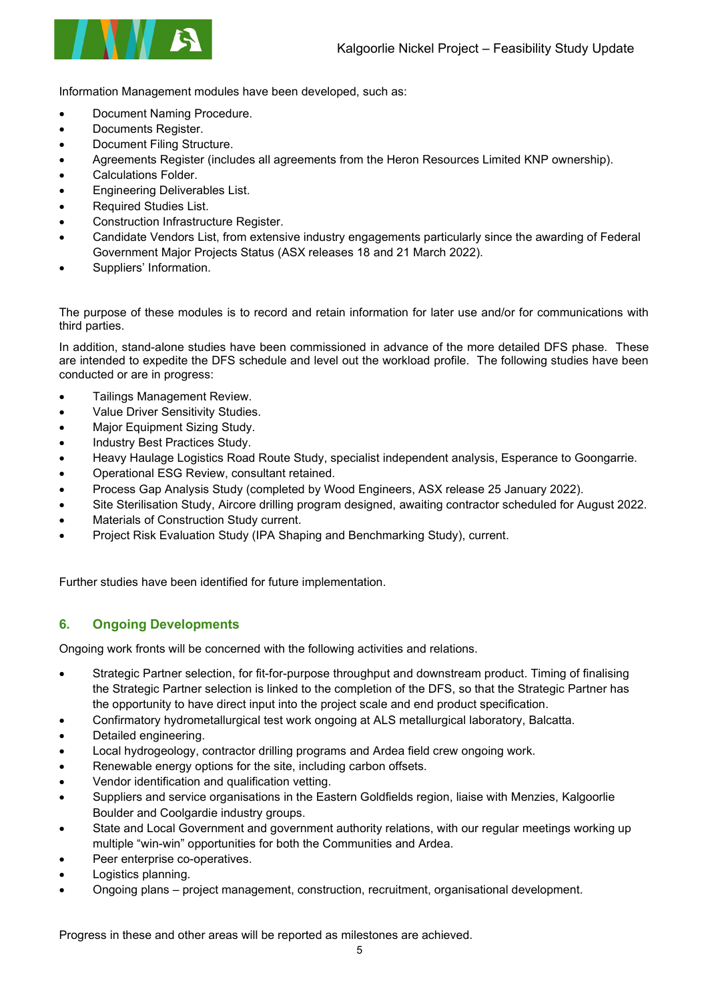

Information Management modules have been developed, such as:

- Document Naming Procedure.
- Documents Register.
- Document Filing Structure.
- Agreements Register (includes all agreements from the Heron Resources Limited KNP ownership).
- Calculations Folder.
- Engineering Deliverables List.
- Required Studies List.
- Construction Infrastructure Register.
- Candidate Vendors List, from extensive industry engagements particularly since the awarding of Federal Government Major Projects Status (ASX releases 18 and 21 March 2022).
- Suppliers' Information.

The purpose of these modules is to record and retain information for later use and/or for communications with third parties.

In addition, stand-alone studies have been commissioned in advance of the more detailed DFS phase. These are intended to expedite the DFS schedule and level out the workload profile. The following studies have been conducted or are in progress:

- Tailings Management Review.
- Value Driver Sensitivity Studies.
- Major Equipment Sizing Study.
- Industry Best Practices Study.
- Heavy Haulage Logistics Road Route Study, specialist independent analysis, Esperance to Goongarrie.
- Operational ESG Review, consultant retained.
- Process Gap Analysis Study (completed by Wood Engineers, ASX release 25 January 2022).
- Site Sterilisation Study, Aircore drilling program designed, awaiting contractor scheduled for August 2022.
- Materials of Construction Study current.
- Project Risk Evaluation Study (IPA Shaping and Benchmarking Study), current.

Further studies have been identified for future implementation.

# **6. Ongoing Developments**

Ongoing work fronts will be concerned with the following activities and relations.

- Strategic Partner selection, for fit-for-purpose throughput and downstream product. Timing of finalising the Strategic Partner selection is linked to the completion of the DFS, so that the Strategic Partner has the opportunity to have direct input into the project scale and end product specification.
- Confirmatory hydrometallurgical test work ongoing at ALS metallurgical laboratory, Balcatta.
- Detailed engineering.
- Local hydrogeology, contractor drilling programs and Ardea field crew ongoing work.
- Renewable energy options for the site, including carbon offsets.
- Vendor identification and qualification vetting.
- Suppliers and service organisations in the Eastern Goldfields region, liaise with Menzies, Kalgoorlie Boulder and Coolgardie industry groups.
- State and Local Government and government authority relations, with our regular meetings working up multiple "win-win" opportunities for both the Communities and Ardea.
- Peer enterprise co-operatives.
- Logistics planning.
- Ongoing plans project management, construction, recruitment, organisational development.

Progress in these and other areas will be reported as milestones are achieved.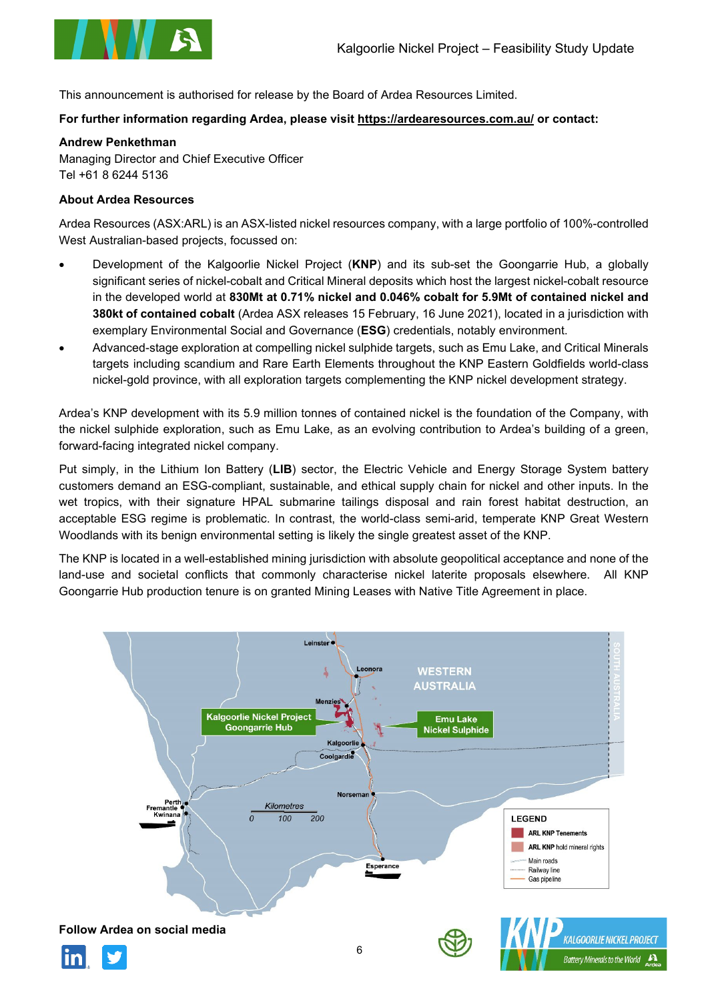

This announcement is authorised for release by the Board of Ardea Resources Limited.

# **For further information regarding Ardea, please visit<https://ardearesources.com.au/> or contact:**

## **Andrew Penkethman**

Managing Director and Chief Executive Officer Tel +61 8 6244 5136

## **About Ardea Resources**

Ardea Resources (ASX:ARL) is an ASX-listed nickel resources company, with a large portfolio of 100%-controlled West Australian-based projects, focussed on:

- Development of the Kalgoorlie Nickel Project (**KNP**) and its sub-set the Goongarrie Hub, a globally significant series of nickel-cobalt and Critical Mineral deposits which host the largest nickel-cobalt resource in the developed world at **830Mt at 0.71% nickel and 0.046% cobalt for 5.9Mt of contained nickel and 380kt of contained cobalt** (Ardea ASX releases 15 February, 16 June 2021), located in a jurisdiction with exemplary Environmental Social and Governance (**ESG**) credentials, notably environment.
- Advanced-stage exploration at compelling nickel sulphide targets, such as Emu Lake, and Critical Minerals targets including scandium and Rare Earth Elements throughout the KNP Eastern Goldfields world-class nickel-gold province, with all exploration targets complementing the KNP nickel development strategy.

Ardea's KNP development with its 5.9 million tonnes of contained nickel is the foundation of the Company, with the nickel sulphide exploration, such as Emu Lake, as an evolving contribution to Ardea's building of a green, forward-facing integrated nickel company.

Put simply, in the Lithium Ion Battery (**LIB**) sector, the Electric Vehicle and Energy Storage System battery customers demand an ESG-compliant, sustainable, and ethical supply chain for nickel and other inputs. In the wet tropics, with their signature HPAL submarine tailings disposal and rain forest habitat destruction, an acceptable ESG regime is problematic. In contrast, the world-class semi-arid, temperate KNP Great Western Woodlands with its benign environmental setting is likely the single greatest asset of the KNP.

The KNP is located in a well-established mining jurisdiction with absolute geopolitical acceptance and none of the land-use and societal conflicts that commonly characterise nickel laterite proposals elsewhere. All KNP Goongarrie Hub production tenure is on granted Mining Leases with Native Title Agreement in place.